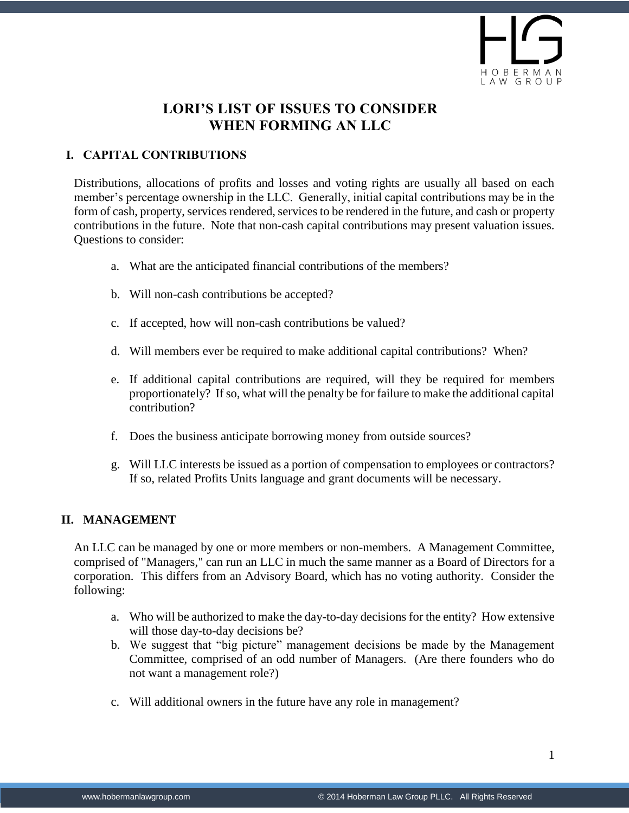

# **LORI'S LIST OF ISSUES TO CONSIDER WHEN FORMING AN LLC**

## **I. CAPITAL CONTRIBUTIONS**

Distributions, allocations of profits and losses and voting rights are usually all based on each member's percentage ownership in the LLC. Generally, initial capital contributions may be in the form of cash, property, services rendered, services to be rendered in the future, and cash or property contributions in the future. Note that non-cash capital contributions may present valuation issues. Questions to consider:

- a. What are the anticipated financial contributions of the members?
- b. Will non-cash contributions be accepted?
- c. If accepted, how will non-cash contributions be valued?
- d. Will members ever be required to make additional capital contributions? When?
- e. If additional capital contributions are required, will they be required for members proportionately? If so, what will the penalty be for failure to make the additional capital contribution?
- f. Does the business anticipate borrowing money from outside sources?
- g. Will LLC interests be issued as a portion of compensation to employees or contractors? If so, related Profits Units language and grant documents will be necessary.

### **II. MANAGEMENT**

An LLC can be managed by one or more members or non-members. A Management Committee, comprised of "Managers," can run an LLC in much the same manner as a Board of Directors for a corporation. This differs from an Advisory Board, which has no voting authority. Consider the following:

- a. Who will be authorized to make the day-to-day decisions for the entity? How extensive will those day-to-day decisions be?
- b. We suggest that "big picture" management decisions be made by the Management Committee, comprised of an odd number of Managers. (Are there founders who do not want a management role?)
- c. Will additional owners in the future have any role in management?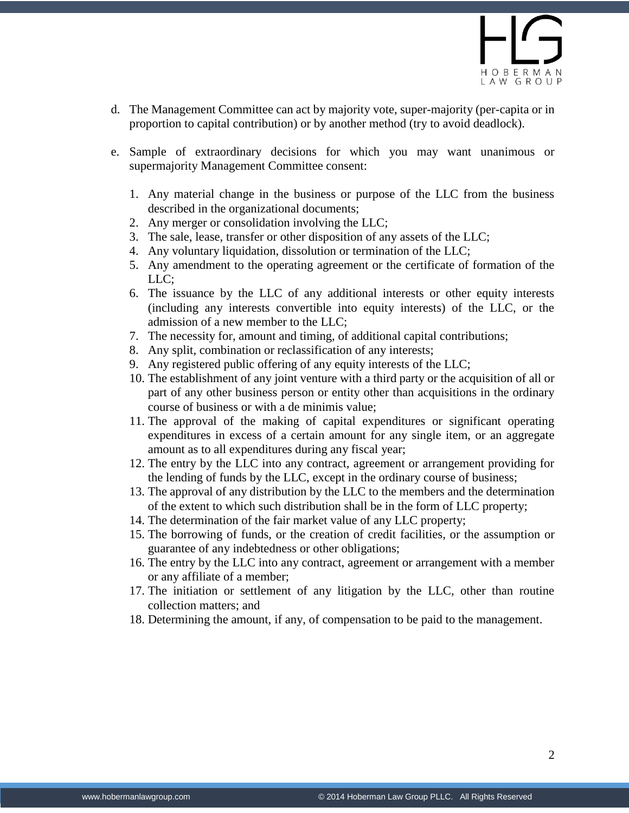- d. The Management Committee can act by majority vote, super-majority (per-capita or in proportion to capital contribution) or by another method (try to avoid deadlock).
- e. Sample of extraordinary decisions for which you may want unanimous or supermajority Management Committee consent:
	- 1. Any material change in the business or purpose of the LLC from the business described in the organizational documents;
	- 2. Any merger or consolidation involving the LLC;
	- 3. The sale, lease, transfer or other disposition of any assets of the LLC;
	- 4. Any voluntary liquidation, dissolution or termination of the LLC;
	- 5. Any amendment to the operating agreement or the certificate of formation of the LLC;
	- 6. The issuance by the LLC of any additional interests or other equity interests (including any interests convertible into equity interests) of the LLC, or the admission of a new member to the LLC;
	- 7. The necessity for, amount and timing, of additional capital contributions;
	- 8. Any split, combination or reclassification of any interests;
	- 9. Any registered public offering of any equity interests of the LLC;
	- 10. The establishment of any joint venture with a third party or the acquisition of all or part of any other business person or entity other than acquisitions in the ordinary course of business or with a de minimis value;
	- 11. The approval of the making of capital expenditures or significant operating expenditures in excess of a certain amount for any single item, or an aggregate amount as to all expenditures during any fiscal year;
	- 12. The entry by the LLC into any contract, agreement or arrangement providing for the lending of funds by the LLC, except in the ordinary course of business;
	- 13. The approval of any distribution by the LLC to the members and the determination of the extent to which such distribution shall be in the form of LLC property;
	- 14. The determination of the fair market value of any LLC property;
	- 15. The borrowing of funds, or the creation of credit facilities, or the assumption or guarantee of any indebtedness or other obligations;
	- 16. The entry by the LLC into any contract, agreement or arrangement with a member or any affiliate of a member;
	- 17. The initiation or settlement of any litigation by the LLC, other than routine collection matters; and
	- 18. Determining the amount, if any, of compensation to be paid to the management.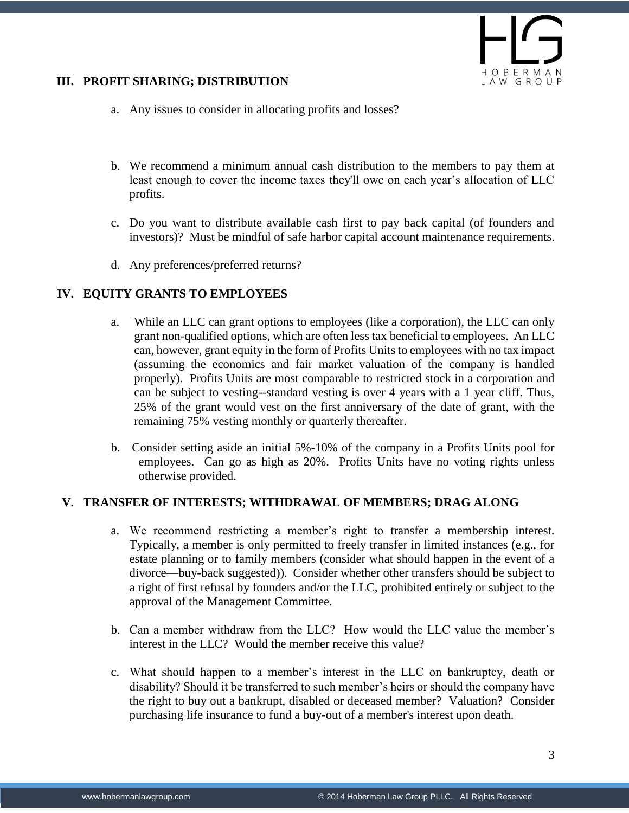

#### **III. PROFIT SHARING; DISTRIBUTION**

- a. Any issues to consider in allocating profits and losses?
- b. We recommend a minimum annual cash distribution to the members to pay them at least enough to cover the income taxes they'll owe on each year's allocation of LLC profits.
- c. Do you want to distribute available cash first to pay back capital (of founders and investors)? Must be mindful of safe harbor capital account maintenance requirements.
- d. Any preferences/preferred returns?

#### **IV. EQUITY GRANTS TO EMPLOYEES**

- a. While an LLC can grant options to employees (like a corporation), the LLC can only grant non-qualified options, which are often less tax beneficial to employees. An LLC can, however, grant equity in the form of Profits Units to employees with no tax impact (assuming the economics and fair market valuation of the company is handled properly). Profits Units are most comparable to restricted stock in a corporation and can be subject to vesting--standard vesting is over 4 years with a 1 year cliff. Thus, 25% of the grant would vest on the first anniversary of the date of grant, with the remaining 75% vesting monthly or quarterly thereafter.
- b. Consider setting aside an initial 5%-10% of the company in a Profits Units pool for employees. Can go as high as 20%. Profits Units have no voting rights unless otherwise provided.

#### **V. TRANSFER OF INTERESTS; WITHDRAWAL OF MEMBERS; DRAG ALONG**

- a. We recommend restricting a member's right to transfer a membership interest. Typically, a member is only permitted to freely transfer in limited instances (e.g., for estate planning or to family members (consider what should happen in the event of a divorce—buy-back suggested)). Consider whether other transfers should be subject to a right of first refusal by founders and/or the LLC, prohibited entirely or subject to the approval of the Management Committee.
- b. Can a member withdraw from the LLC? How would the LLC value the member's interest in the LLC? Would the member receive this value?
- c. What should happen to a member's interest in the LLC on bankruptcy, death or disability? Should it be transferred to such member's heirs or should the company have the right to buy out a bankrupt, disabled or deceased member? Valuation? Consider purchasing life insurance to fund a buy-out of a member's interest upon death.